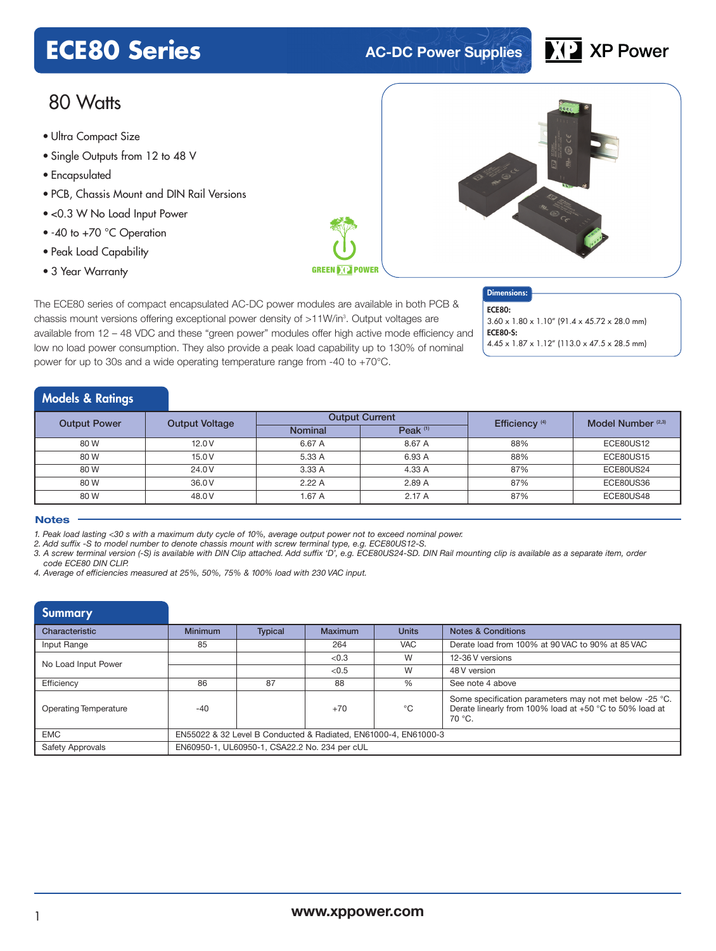# **ECE80 Series AC-DC Power Supplies**



# 80 Watts

- Ultra Compact Size
- Single Outputs from 12 to 48 V
- Encapsulated
- PCB, Chassis Mount and DIN Rail Versions
- <0.3 W No Load Input Power
- -40 to +70 °C Operation
- Peak Load Capability
- 3 Year Warranty



The ECE80 series of compact encapsulated AC-DC power modules are available in both PCB & chassis mount versions offering exceptional power density of >11W/in<sup>3</sup>. Output voltages are available from 12 – 48 VDC and these "green power" modules offer high active mode efficiency and low no load power consumption. They also provide a peak load capability up to 130% of nominal power for up to 30s and a wide operating temperature range from -40 to +70°C.

# Dimensions: ECE80:

3.60 x 1.80 x 1.10" (91.4 x 45.72 x 28.0 mm) ECE80-S: 4.45 x 1.87 x 1.12" (113.0 x 47.5 x 28.5 mm)

# Models & Ratings

| <b>Output Power</b> | <b>Output Voltage</b> |                | <b>Output Current</b> | Efficiency <sup>(4)</sup> | Model Number <sup>(2,3)</sup> |
|---------------------|-----------------------|----------------|-----------------------|---------------------------|-------------------------------|
|                     |                       | <b>Nominal</b> | Peak $(1)$            |                           |                               |
| 80 W                | 12.0V                 | 6.67 A         | 8.67 A                | 88%                       | ECE80US12                     |
| 80 W                | 15.0V                 | 5.33 A         | 6.93 A                | 88%                       | ECE80US15                     |
| 80 W                | 24.0 V                | 3.33 A         | 4.33 A                | 87%                       | ECE80US24                     |
| 80 W                | 36.0 V                | 2.22A          | 2.89 A                | 87%                       | ECE80US36                     |
| 80 W                | 48.0 V                | 1.67 A         | 2.17A                 | 87%                       | ECE80US48                     |

#### **Notes**

*1. Peak load lasting <30 s with a maximum duty cycle of 10%, average output power not to exceed nominal power.*

*2. Add suffix -S to model number to denote chassis mount with screw terminal type, e.g. ECE80US12-S.* 

*3. A screw terminal version (-S) is available with DIN Clip attached. Add suffix 'D', e.g. ECE80US24-SD. DIN Rail mounting clip is available as a separate item, order code ECE80 DIN CLIP.*

*4. Average of efficiencies measured at 25%, 50%, 75% & 100% load with 230 VAC input.*

| Summary                      |                                                                 |                |                |              |                                                                                                                              |  |
|------------------------------|-----------------------------------------------------------------|----------------|----------------|--------------|------------------------------------------------------------------------------------------------------------------------------|--|
| Characteristic               | <b>Minimum</b>                                                  | <b>Typical</b> | <b>Maximum</b> | <b>Units</b> | <b>Notes &amp; Conditions</b>                                                                                                |  |
| Input Range                  | 85                                                              |                | 264            | <b>VAC</b>   | Derate load from 100% at 90 VAC to 90% at 85 VAC                                                                             |  |
| No Load Input Power          |                                                                 |                | < 0.3          | W            | 12-36 V versions                                                                                                             |  |
|                              |                                                                 |                | < 0.5          | W            | 48 V version                                                                                                                 |  |
| Efficiency                   | 86                                                              | 87             | 88             | %            | See note 4 above                                                                                                             |  |
| <b>Operating Temperature</b> | $-40$                                                           |                | $+70$          | °C           | Some specification parameters may not met below -25 °C.<br>Derate linearly from 100% load at +50 °C to 50% load at<br>70 °C. |  |
| <b>EMC</b>                   | EN55022 & 32 Level B Conducted & Radiated, EN61000-4, EN61000-3 |                |                |              |                                                                                                                              |  |
| Safety Approvals             | EN60950-1, UL60950-1, CSA22.2 No. 234 per cUL                   |                |                |              |                                                                                                                              |  |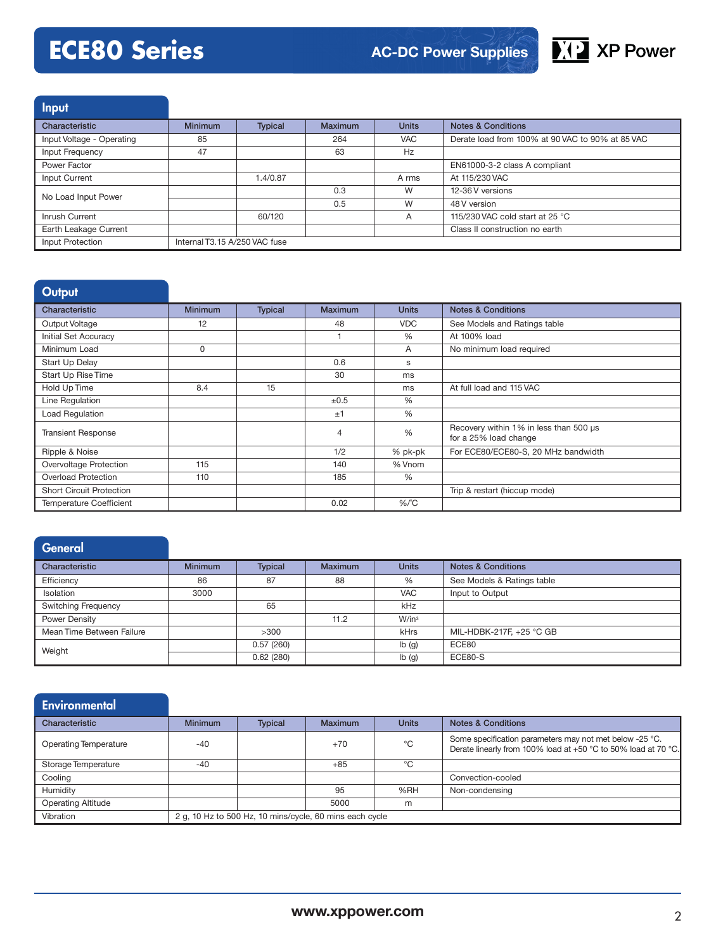# **ECE80 Series**



Input

| Characteristic            | <b>Minimum</b>                | <b>Typical</b> | <b>Maximum</b> | <b>Units</b> | Notes & Conditions                               |
|---------------------------|-------------------------------|----------------|----------------|--------------|--------------------------------------------------|
| Input Voltage - Operating | 85                            |                | 264            | <b>VAC</b>   | Derate load from 100% at 90 VAC to 90% at 85 VAC |
| Input Frequency           | 47                            |                | 63             | Hz           |                                                  |
| Power Factor              |                               |                |                |              | EN61000-3-2 class A compliant                    |
| Input Current             |                               | 1.4/0.87       |                | A rms        | At 115/230 VAC                                   |
| No Load Input Power       |                               |                | 0.3            | W            | 12-36 V versions                                 |
|                           |                               |                | 0.5            | W            | 48 V version                                     |
| Inrush Current            |                               | 60/120         |                | Α            | 115/230 VAC cold start at 25 °C                  |
| Earth Leakage Current     |                               |                |                |              | Class II construction no earth                   |
| Input Protection          | Internal T3.15 A/250 VAC fuse |                |                |              |                                                  |

| <b>Output</b>                   |                |                |                |               |                                                                 |
|---------------------------------|----------------|----------------|----------------|---------------|-----------------------------------------------------------------|
| Characteristic                  | <b>Minimum</b> | <b>Typical</b> | <b>Maximum</b> | <b>Units</b>  | <b>Notes &amp; Conditions</b>                                   |
| Output Voltage                  | 12             |                | 48             | <b>VDC</b>    | See Models and Ratings table                                    |
| Initial Set Accuracy            |                |                |                | $\%$          | At 100% load                                                    |
| Minimum Load                    | 0              |                |                | A             | No minimum load required                                        |
| Start Up Delay                  |                |                | 0.6            | s             |                                                                 |
| Start Up Rise Time              |                |                | 30             | ms            |                                                                 |
| Hold Up Time                    | 8.4            | 15             |                | ms            | At full load and 115 VAC                                        |
| Line Regulation                 |                |                | ±0.5           | $\%$          |                                                                 |
| Load Regulation                 |                |                | ±1             | %             |                                                                 |
| <b>Transient Response</b>       |                |                | $\overline{4}$ | $\frac{0}{6}$ | Recovery within 1% in less than 500 µs<br>for a 25% load change |
| Ripple & Noise                  |                |                | 1/2            | % pk-pk       | For ECE80/ECE80-S, 20 MHz bandwidth                             |
| Overvoltage Protection          | 115            |                | 140            | % Vnom        |                                                                 |
| <b>Overload Protection</b>      | 110            |                | 185            | %             |                                                                 |
| <b>Short Circuit Protection</b> |                |                |                |               | Trip & restart (hiccup mode)                                    |
| <b>Temperature Coefficient</b>  |                |                | 0.02           | $%$ $C$       |                                                                 |

| <b>General</b>             |                |                |                |                           |                               |
|----------------------------|----------------|----------------|----------------|---------------------------|-------------------------------|
| Characteristic             | <b>Minimum</b> | <b>Typical</b> | <b>Maximum</b> | <b>Units</b>              | <b>Notes &amp; Conditions</b> |
| Efficiency                 | 86             | 87             | 88             | %                         | See Models & Ratings table    |
| <b>Isolation</b>           | 3000           |                |                | <b>VAC</b>                | Input to Output               |
| <b>Switching Frequency</b> |                | 65             |                | kHz                       |                               |
| Power Density              |                |                | 11.2           | W/in3                     |                               |
| Mean Time Between Failure  |                | >300           |                | kHrs                      | MIL-HDBK-217F, +25 °C GB      |
| Weight                     |                | 0.57(260)      |                | $\mathsf{lb}(\mathsf{g})$ | ECE80                         |
|                            |                | 0.62(280)      |                | $\mathsf{lb}(\mathsf{g})$ | ECE80-S                       |

| <b>Environmental</b>         |                                                         |                |                |              |                                                                                                                           |  |
|------------------------------|---------------------------------------------------------|----------------|----------------|--------------|---------------------------------------------------------------------------------------------------------------------------|--|
| Characteristic               | <b>Minimum</b>                                          | <b>Typical</b> | <b>Maximum</b> | <b>Units</b> | <b>Notes &amp; Conditions</b>                                                                                             |  |
| <b>Operating Temperature</b> | $-40$                                                   |                | $+70$          | °C           | Some specification parameters may not met below -25 °C.<br>Derate linearly from 100% load at +50 °C to 50% load at 70 °C. |  |
| Storage Temperature          | $-40$                                                   |                | $+85$          | °C           |                                                                                                                           |  |
| Cooling                      |                                                         |                |                |              | Convection-cooled                                                                                                         |  |
| Humidity                     |                                                         |                | 95             | %RH          | Non-condensing                                                                                                            |  |
| <b>Operating Altitude</b>    |                                                         |                | 5000           | m            |                                                                                                                           |  |
| Vibration                    | 2 g, 10 Hz to 500 Hz, 10 mins/cycle, 60 mins each cycle |                |                |              |                                                                                                                           |  |